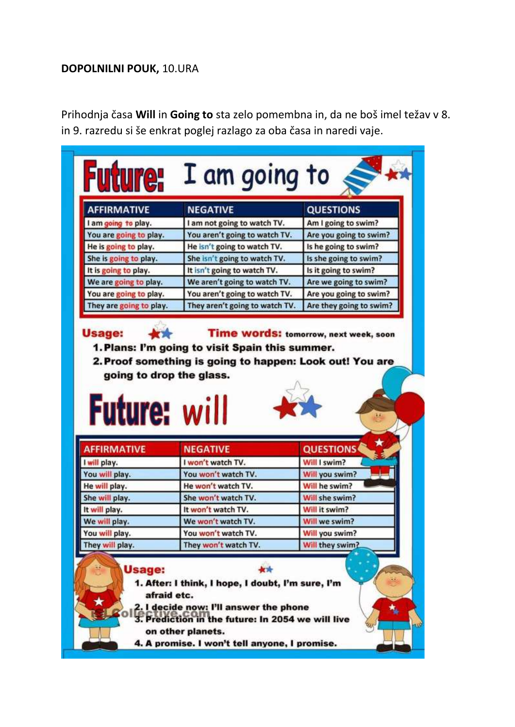## **DOPOLNILNI POUK,** 10.URA

Prihodnja časa **Will** in **Going to** sta zelo pomembna in, da ne boš imel težav v 8. in 9. razredu si še enkrat poglej razlago za oba časa in naredi vaje.

| <b>AFFIRMATIVE</b>                                                                                |                                                                                                                                         | <b>QUESTIONS</b>                               |
|---------------------------------------------------------------------------------------------------|-----------------------------------------------------------------------------------------------------------------------------------------|------------------------------------------------|
|                                                                                                   | <b>NEGATIVE</b>                                                                                                                         |                                                |
| I am going to play.                                                                               | I am not going to watch TV.                                                                                                             | Am I going to swim?                            |
| You are going to play.                                                                            | You aren't going to watch TV.                                                                                                           | Are you going to swim?<br>Is he going to swim? |
| He is going to play.                                                                              | He isn't going to watch TV.                                                                                                             |                                                |
| She is going to play.                                                                             | She isn't going to watch TV.                                                                                                            | Is she going to swim?<br>Is it going to swim?  |
| It is going to play.                                                                              | It isn't going to watch TV.<br>We aren't going to watch TV.                                                                             | Are we going to swim?                          |
| We are going to play.                                                                             | You aren't going to watch TV.                                                                                                           | Are you going to swim?                         |
| You are going to play.<br>They are going to play.                                                 | They aren't going to watch TV.                                                                                                          | Are they going to swim?                        |
|                                                                                                   |                                                                                                                                         |                                                |
|                                                                                                   | 1. Plans: I'm going to visit Spain this summer.<br>2. Proof something is going to happen: Look out! You are<br>going to drop the glass. | Time words: tomorrow, next week, soon          |
|                                                                                                   |                                                                                                                                         |                                                |
|                                                                                                   | <b>NEGATIVE</b>                                                                                                                         | <b>QUESTIONS</b>                               |
|                                                                                                   | I won't watch TV.                                                                                                                       | Will I swim?                                   |
|                                                                                                   | You won't watch TV.                                                                                                                     | Will you swim?                                 |
| <b>Future: will</b>                                                                               | He won't watch TV.                                                                                                                      | Will he swim?                                  |
| Usage:<br><b>AFFIRMATIVE</b><br>I will play.<br>You will play.<br>He will play.<br>She will play. | She won't watch TV.                                                                                                                     | Will she swim?                                 |
|                                                                                                   | It won't watch TV.                                                                                                                      | Will it swim?                                  |
| It will play.<br>We will play.                                                                    | We won't watch TV.                                                                                                                      | Will we swim?                                  |
| You will play.                                                                                    | You won't watch TV.                                                                                                                     | Will you swim?<br>Will they swim?              |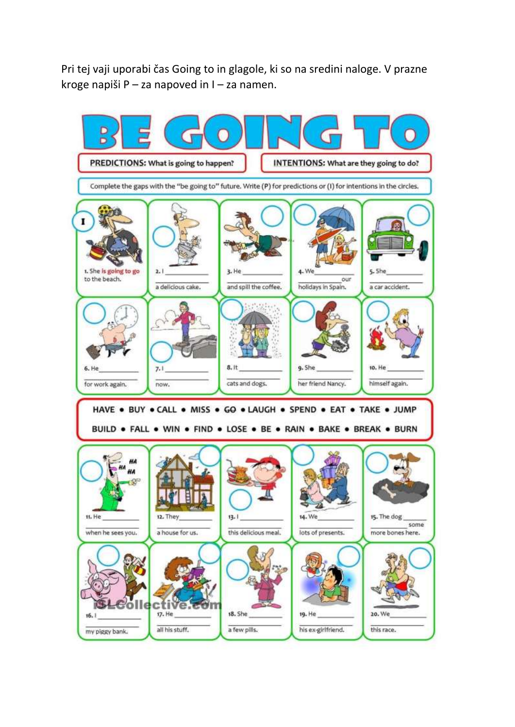Pri tej vaji uporabi čas Going to in glagole, ki so na sredini naloge. V prazne kroge napiši P – za napoved in I – za namen.

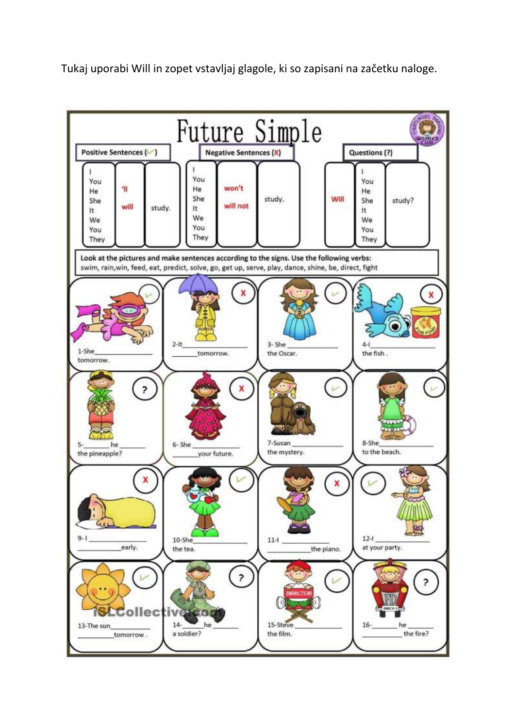Tukaj uporabi Will in zopet vstavljaj glagole, ki so zapisani na začetku naloge.